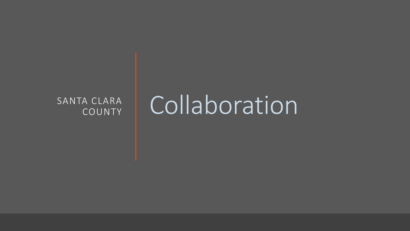# COUNTY

# SANTA CLARA | Collaboration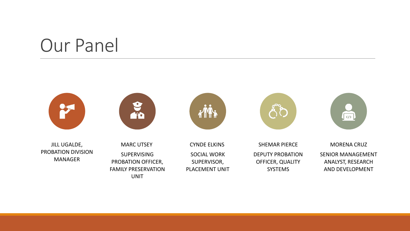## Our Panel





JILL UGALDE, PROBATION DIVISION MANAGER

MARC UTSEY SUPERVISING PROBATION OFFICER, FAMILY PRESERVATION UNIT



CYNDE ELKINS SOCIAL WORK SUPERVISOR, PLACEMENT UNIT



SHEMAR PIERCE DEPUTY PROBATION OFFICER, QUALITY SYSTEMS



MORENA CRUZ SENIOR MANAGEMENT ANALYST, RESEARCH AND DEVELOPMENT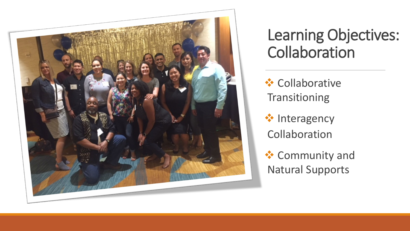

## Learning Objectives: **Collaboration**

**❖ Collaborative** Transitioning

**☆** Interagency Collaboration

**❖** Community and Natural Supports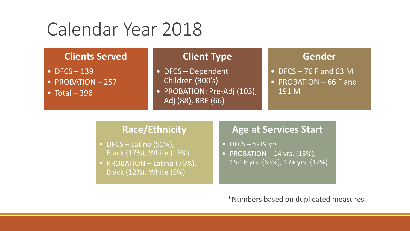# Calendar Year 2018

#### **Clients Served**

- $\bullet$  DFCS  $-139$
- PROBATION 257
- Total  $-396$

#### **Client Type**

- DFCS Dependent Children (300's)
- PROBATION: Pre-Adj (103), Adj (88), RRE (66)

#### **Gender**

- DFCS  $-76$  F and 63 M
- PROBATION 66 F and 191 M

#### **Race/Ethnicity**

- DFCS Latino  $(51\%)$ , Black (17%), White (13%)
- PROBATION Latino (76%), Black (12%), White (5%)

### **Age at Services Start**

- DFCS  $-$  5-19 yrs.
- PROBATION  $-$  14 yrs. (15%), 15-16 yrs. (63%), 17+ yrs. (17%)

\*Numbers based on duplicated measures.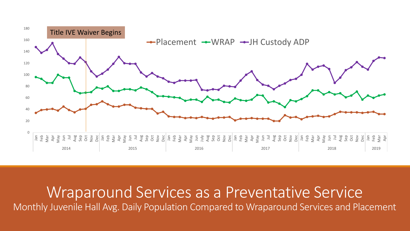

Wraparound Services as a Preventative Service Monthly Juvenile Hall Avg. Daily Population Compared to Wraparound Services and Placement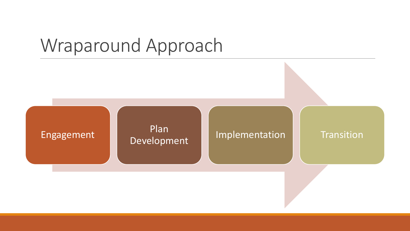# Wraparound Approach

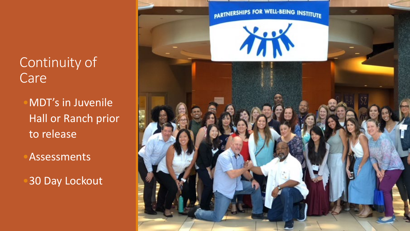## Continuity of **Care**

•MDT's in Juvenile Hall or Ranch prior to release

**Assessments** 

**30 Day Lockout** 

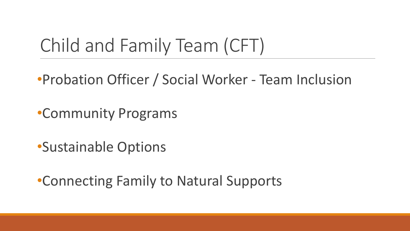# Child and Family Team (CFT)

- •Probation Officer / Social Worker Team Inclusion
- •Community Programs
- •Sustainable Options
- •Connecting Family to Natural Supports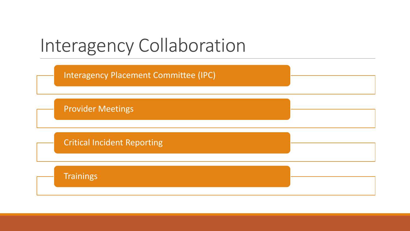# Interagency Collaboration

Interagency Placement Committee (IPC)

Provider Meetings

Critical Incident Reporting

**Trainings**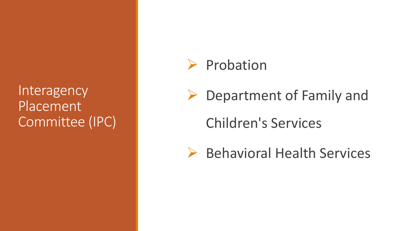### **Interagency** Placement Committee (IPC)

### $\triangleright$  Probation

**►** Department of Family and

Children's Services

▶ Behavioral Health Services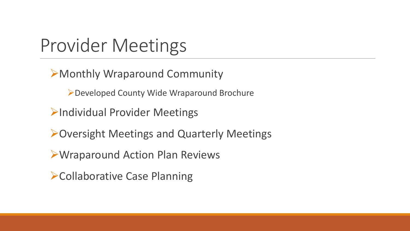# Provider Meetings

Monthly Wraparound Community

Developed County Wide Wraparound Brochure

**Individual Provider Meetings** 

**>Oversight Meetings and Quarterly Meetings** 

Wraparound Action Plan Reviews

**Example 2 Follaborative Case Planning**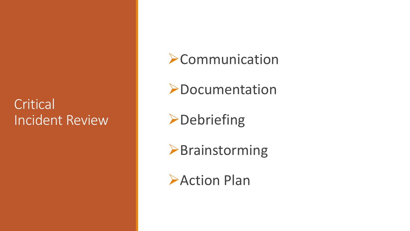## **Critical** Incident Review

### **Example 10 PCommunication**

**>Documentation** 

**>Debriefing** 

**>Brainstorming** 

**Action Plan**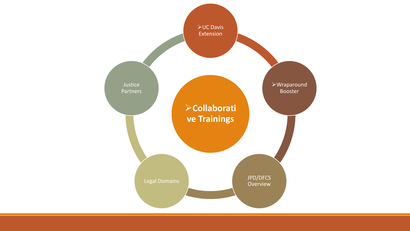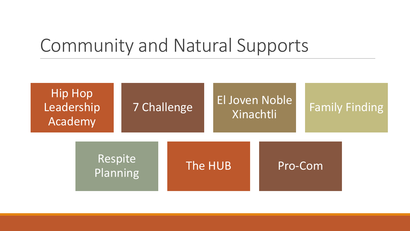## Community and Natural Supports

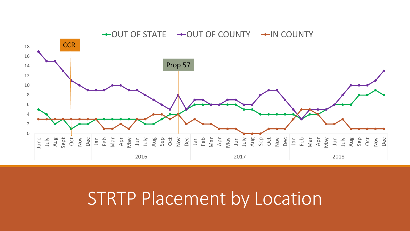

## STRTP Placement by Location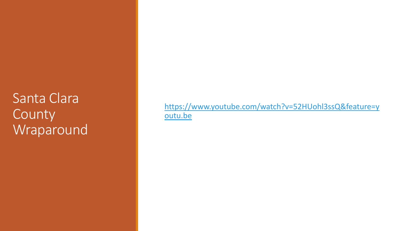Santa Clara County Wraparound

[https://www.youtube.com/watch?v=52HUohl3ssQ&feature=y](https://www.youtube.com/watch?v=52HUohl3ssQ&feature=youtu.be) outu.be